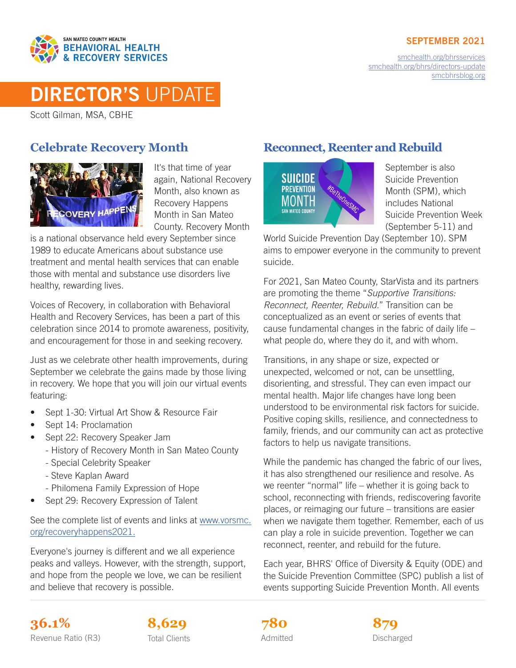

[smchealth.org/bhrsservices](https://www.smchealth.org/bhrsservices) [smchealth.org/bhrs/directors-update](https://www.smchealth.org/bhrs/directors-update) [smcbhrsblog.org](http://www.smcbhrsblog.org)



# DIRECTOR'S UPDATE

Scott Gilman, MSA, CBHE

## **Celebrate Recovery Month**



It's that time of year again, National Recovery Month, also known as Recovery Happens Month in San Mateo County. Recovery Month

is a national observance held every September since 1989 to educate Americans about substance use treatment and mental health services that can enable those with mental and substance use disorders live healthy, rewarding lives.

Voices of Recovery, in collaboration with Behavioral Health and Recovery Services, has been a part of this celebration since 2014 to promote awareness, positivity, and encouragement for those in and seeking recovery.

Just as we celebrate other health improvements, during September we celebrate the gains made by those living in recovery. We hope that you will join our virtual events featuring:

- Sept 1-30: Virtual Art Show & Resource Fair
- Sept 14: Proclamation
- Sept 22: Recovery Speaker Jam
	- History of Recovery Month in San Mateo County
	- Special Celebrity Speaker
	- Steve Kaplan Award
	- Philomena Family Expression of Hope
- Sept 29: Recovery Expression of Talent

See the complete list of events and links at [www.vorsmc.](http://www.vorsmc.org/recoveryhappens2021) [org/recoveryhappens2021](http://www.vorsmc.org/recoveryhappens2021).

Everyone's journey is different and we all experience peaks and valleys. However, with the strength, support, and hope from the people we love, we can be resilient and believe that recovery is possible.

# **Reconnect, Reenter and Rebuild**



September is also Suicide Prevention Month (SPM), which includes National Suicide Prevention Week (September 5-11) and

World Suicide Prevention Day (September 10). SPM aims to empower everyone in the community to prevent suicide.

For 2021, San Mateo County, StarVista and its partners are promoting the theme "*Supportive Transitions: Reconnect, Reenter, Rebuild.*" Transition can be conceptualized as an event or series of events that cause fundamental changes in the fabric of daily life – what people do, where they do it, and with whom.

Transitions, in any shape or size, expected or unexpected, welcomed or not, can be unsettling, disorienting, and stressful. They can even impact our mental health. Major life changes have long been understood to be environmental risk factors for suicide. Positive coping skills, resilience, and connectedness to family, friends, and our community can act as protective factors to help us navigate transitions.

While the pandemic has changed the fabric of our lives, it has also strengthened our resilience and resolve. As we reenter "normal" life – whether it is going back to school, reconnecting with friends, rediscovering favorite places, or reimaging our future – transitions are easier when we navigate them together. Remember, each of us can play a role in suicide prevention. Together we can reconnect, reenter, and rebuild for the future.

Each year, BHRS' Office of Diversity & Equity (ODE) and the Suicide Prevention Committee (SPC) publish a list of events supporting Suicide Prevention Month. All events

**36.1% 8,629 879** Revenue Ratio (R3) Total Clients **Constructs** Admitted **Discharged** Discharged



Admitted **780**

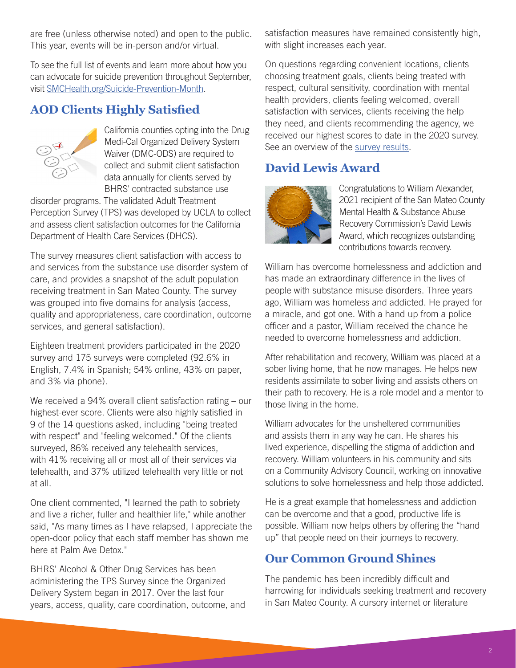are free (unless otherwise noted) and open to the public. This year, events will be in-person and/or virtual.

To see the full list of events and learn more about how you can advocate for suicide prevention throughout September, visit [SMCHealth.org/Suicide-Prevention-Month](http://SMCHealth.org/Suicide-Prevention-Month).

## **AOD Clients Highly Satisfied**



California counties opting into the Drug Medi-Cal Organized Delivery System Waiver (DMC-ODS) are required to collect and submit client satisfaction data annually for clients served by BHRS' contracted substance use

disorder programs. The validated Adult Treatment Perception Survey (TPS) was developed by UCLA to collect and assess client satisfaction outcomes for the California Department of Health Care Services (DHCS).

The survey measures client satisfaction with access to and services from the substance use disorder system of care, and provides a snapshot of the adult population receiving treatment in San Mateo County. The survey was grouped into five domains for analysis (access, quality and appropriateness, care coordination, outcome services, and general satisfaction).

Eighteen treatment providers participated in the 2020 survey and 175 surveys were completed (92.6% in English, 7.4% in Spanish; 54% online, 43% on paper, and 3% via phone).

We received a 94% overall client satisfaction rating – our highest-ever score. Clients were also highly satisfied in 9 of the 14 questions asked, including "being treated with respect" and "feeling welcomed." Of the clients surveyed, 86% received any telehealth services, with 41% receiving all or most all of their services via telehealth, and 37% utilized telehealth very little or not at all.

One client commented, "I learned the path to sobriety and live a richer, fuller and healthier life," while another said, "As many times as I have relapsed, I appreciate the open-door policy that each staff member has shown me here at Palm Ave Detox."

BHRS' Alcohol & Other Drug Services has been administering the TPS Survey since the Organized Delivery System began in 2017. Over the last four years, access, quality, care coordination, outcome, and satisfaction measures have remained consistently high, with slight increases each year.

On questions regarding convenient locations, clients choosing treatment goals, clients being treated with respect, cultural sensitivity, coordination with mental health providers, clients feeling welcomed, overall satisfaction with services, clients receiving the help they need, and clients recommending the agency, we received our highest scores to date in the 2020 survey. See an overview of the [survey results](https://www.smchealth.org/sites/main/files/aod_client_survey_dmc_ods_tps_2020.pdf).

## **David Lewis Award**



Congratulations to William Alexander, 2021 recipient of the San Mateo County Mental Health & Substance Abuse Recovery Commission's David Lewis Award, which recognizes outstanding contributions towards recovery.

William has overcome homelessness and addiction and has made an extraordinary difference in the lives of people with substance misuse disorders. Three years ago, William was homeless and addicted. He prayed for a miracle, and got one. With a hand up from a police officer and a pastor, William received the chance he needed to overcome homelessness and addiction.

After rehabilitation and recovery, William was placed at a sober living home, that he now manages. He helps new residents assimilate to sober living and assists others on their path to recovery. He is a role model and a mentor to those living in the home.

William advocates for the unsheltered communities and assists them in any way he can. He shares his lived experience, dispelling the stigma of addiction and recovery. William volunteers in his community and sits on a Community Advisory Council, working on innovative solutions to solve homelessness and help those addicted.

He is a great example that homelessness and addiction can be overcome and that a good, productive life is possible. William now helps others by offering the "hand up" that people need on their journeys to recovery.

#### **Our Common Ground Shines**

The pandemic has been incredibly difficult and harrowing for individuals seeking treatment and recovery in San Mateo County. A cursory internet or literature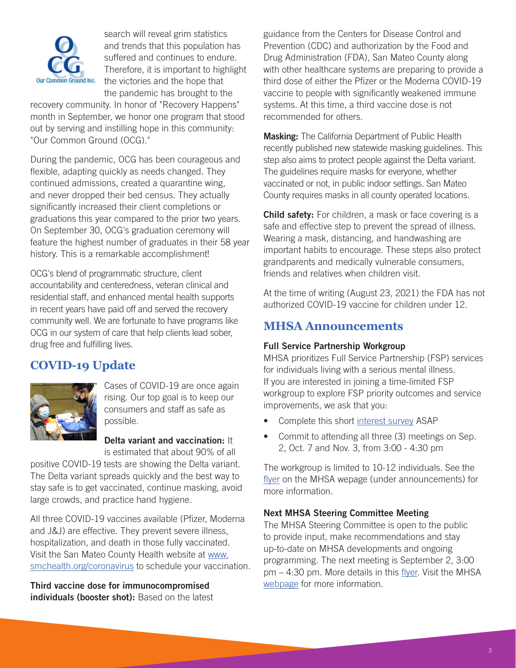

search will reveal grim statistics and trends that this population has suffered and continues to endure. Therefore, it is important to highlight the victories and the hope that the pandemic has brought to the

recovery community. In honor of "Recovery Happens" month in September, we honor one program that stood out by serving and instilling hope in this community: "Our Common Ground (OCG)."

During the pandemic, OCG has been courageous and flexible, adapting quickly as needs changed. They continued admissions, created a quarantine wing, and never dropped their bed census. They actually significantly increased their client completions or graduations this year compared to the prior two years. On September 30, OCG's graduation ceremony will feature the highest number of graduates in their 58 year history. This is a remarkable accomplishment!

OCG's blend of programmatic structure, client accountability and centeredness, veteran clinical and residential staff, and enhanced mental health supports in recent years have paid off and served the recovery community well. We are fortunate to have programs like OCG in our system of care that help clients lead sober, drug free and fulfilling lives.

## **COVID-19 Update**



Cases of COVID-19 are once again rising. Our top goal is to keep our consumers and staff as safe as possible.

Delta variant and vaccination: It is estimated that about 90% of all

positive COVID-19 tests are showing the Delta variant. The Delta variant spreads quickly and the best way to stay safe is to get vaccinated, continue masking, avoid large crowds, and practice hand hygiene.

All three COVID-19 vaccines available (Pfizer, Moderna and J&J) are effective. They prevent severe illness, hospitalization, and death in those fully vaccinated. Visit the San Mateo County Health website at [www.](http://www.smchealth.org/coronavirus) [smchealth.org/coronavirus](http://www.smchealth.org/coronavirus) to schedule your vaccination.

Third vaccine dose for immunocompromised individuals (booster shot): Based on the latest guidance from the Centers for Disease Control and Prevention (CDC) and authorization by the Food and Drug Administration (FDA), San Mateo County along with other healthcare systems are preparing to provide a third dose of either the Pfizer or the Moderna COVID-19 vaccine to people with significantly weakened immune systems. At this time, a third vaccine dose is not recommended for others.

**Masking:** The California Department of Public Health recently published new statewide masking guidelines. This step also aims to protect people against the Delta variant. The guidelines require masks for everyone, whether vaccinated or not, in public indoor settings. San Mateo County requires masks in all county operated locations.

Child safety: For children, a mask or face covering is a safe and effective step to prevent the spread of illness. Wearing a mask, distancing, and handwashing are important habits to encourage. These steps also protect grandparents and medically vulnerable consumers, friends and relatives when children visit.

At the time of writing (August 23, 2021) the FDA has not authorized COVID-19 vaccine for children under 12.

#### **MHSA Announcements**

#### Full Service Partnership Workgroup

MHSA prioritizes Full Service Partnership (FSP) services for individuals living with a serious mental illness. If you are interested in joining a time-limited FSP workgroup to explore FSP priority outcomes and service improvements, we ask that you:

- Complete this short [interest survey](https://www.surveymonkey.com/r/MHSAWorkgroup) ASAP
- Commit to attending all three (3) meetings on Sep. 2, Oct. 7 and Nov. 3, from 3:00 - 4:30 pm

The workgroup is limited to 10-12 individuals. See the [flyer](https://www.smchealth.org/bhrs/mhsa) on the MHSA wepage (under announcements) for more information.

#### Next MHSA Steering Committee Meeting

The MHSA Steering Committee is open to the public to provide input, make recommendations and stay up-to-date on MHSA developments and ongoing programming. The next meeting is September 2, 3:00 pm – 4:30 pm. More details in this [flyer](https://www.smchealth.org/sites/main/files/mhsa_steering_cmttee_flyer_090221_0.pdf). Visit the MHSA [webpage](https://www.smchealth.org/bhrs/mhsa) for more information.